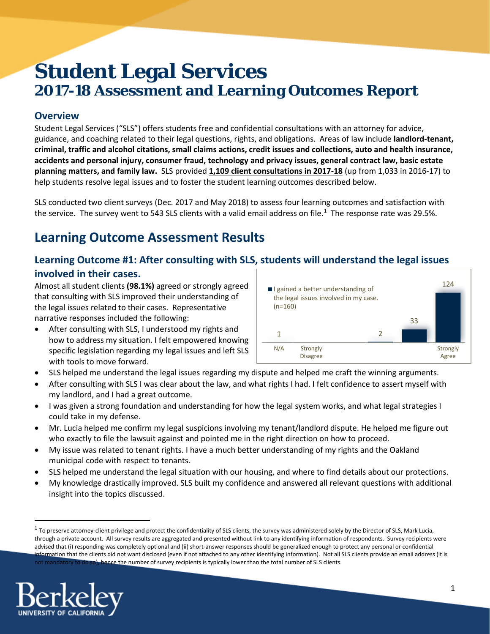# **Student Legal Services 2017-18 Assessment and Learning Outcomes Report**

### **Overview**

Student Legal Services ("SLS") offers students free and confidential consultations with an attorney for advice, guidance, and coaching related to their legal questions, rights, and obligations. Areas of law include **landlord-tenant, criminal, traffic and alcohol citations, small claims actions, credit issues and collections, auto and health insurance, accidents and personal injury, consumer fraud, technology and privacy issues, general contract law, basic estate planning matters, and family law.** SLS provided **1,109 client consultations in 2017-18** (up from 1,033 in 2016-17) to help students resolve legal issues and to foster the student learning outcomes described below.

SLS conducted two client surveys (Dec. 2017 and May 2018) to assess four learning outcomes and satisfaction with the service. The survey went to 543 SLS clients with a valid email address on file.<sup>[1](#page-0-0)</sup> The response rate was 29.5%.

# **Learning Outcome Assessment Results**

### **Learning Outcome #1: After consulting with SLS, students will understand the legal issues involved in their cases.**

Almost all student clients **(98.1%)** agreed or strongly agreed that consulting with SLS improved their understanding of the legal issues related to their cases. Representative narrative responses included the following:

- After consulting with SLS, I understood my rights and how to address my situation. I felt empowered knowing specific legislation regarding my legal issues and left SLS with tools to move forward.
- 1 2 33 124 N/A Strongly Disagree **Strongly** Agree I gained a better understanding of the legal issues involved in my case. (n=160)
- SLS helped me understand the legal issues regarding my dispute and helped me craft the winning arguments.
- After consulting with SLS I was clear about the law, and what rights I had. I felt confidence to assert myself with my landlord, and I had a great outcome.
- I was given a strong foundation and understanding for how the legal system works, and what legal strategies I could take in my defense.
- Mr. Lucia helped me confirm my legal suspicions involving my tenant/landlord dispute. He helped me figure out who exactly to file the lawsuit against and pointed me in the right direction on how to proceed.
- My issue was related to tenant rights. I have a much better understanding of my rights and the Oakland municipal code with respect to tenants.
- SLS helped me understand the legal situation with our housing, and where to find details about our protections.
- My knowledge drastically improved. SLS built my confidence and answered all relevant questions with additional insight into the topics discussed.

<span id="page-0-0"></span> $1$  To preserve attorney-client privilege and protect the confidentiality of SLS clients, the survey was administered solely by the Director of SLS, Mark Lucia, through a private account. All survey results are aggregated and presented without link to any identifying information of respondents. Survey recipients were advised that (i) responding was completely optional and (ii) short-answer responses should be generalized enough to protect any personal or confidential information that the clients did not want disclosed (even if not attached to any other identifying information). Not all SLS clients provide an email address (it is not mandatory to do so), hence the number of survey recipients is typically lower than the total number of SLS clients.

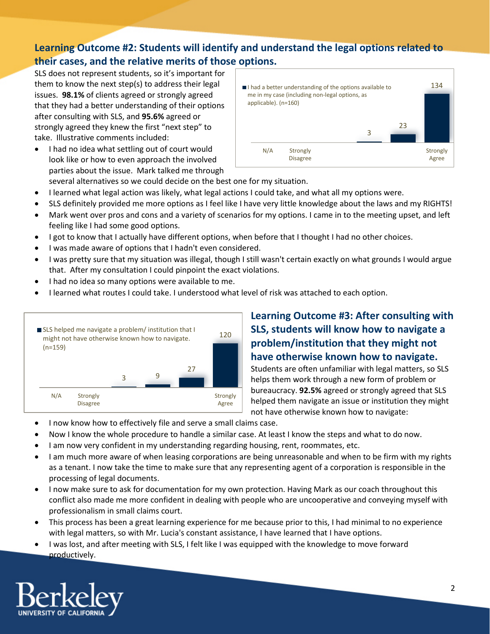# **Learning Outcome #2: Students will identify and understand the legal options related to their cases, and the relative merits of those options.**

SLS does not represent students, so it's important for them to know the next step(s) to address their legal issues. **98.1%** of clients agreed or strongly agreed that they had a better understanding of their options after consulting with SLS, and **95.6%** agreed or strongly agreed they knew the first "next step" to take. Illustrative comments included:

• I had no idea what settling out of court would look like or how to even approach the involved parties about the issue. Mark talked me through



- several alternatives so we could decide on the best one for my situation.
- I learned what legal action was likely, what legal actions I could take, and what all my options were.
- SLS definitely provided me more options as I feel like I have very little knowledge about the laws and my RIGHTS!
- Mark went over pros and cons and a variety of scenarios for my options. I came in to the meeting upset, and left feeling like I had some good options.
- I got to know that I actually have different options, when before that I thought I had no other choices.
- I was made aware of options that I hadn't even considered.
- I was pretty sure that my situation was illegal, though I still wasn't certain exactly on what grounds I would argue that. After my consultation I could pinpoint the exact violations.
- I had no idea so many options were available to me.
- I learned what routes I could take. I understood what level of risk was attached to each option.



# **Learning Outcome #3: After consulting with SLS, students will know how to navigate a problem/institution that they might not have otherwise known how to navigate.**

Students are often unfamiliar with legal matters, so SLS helps them work through a new form of problem or bureaucracy. **92.5%** agreed or strongly agreed that SLS helped them navigate an issue or institution they might not have otherwise known how to navigate:

- I now know how to effectively file and serve a small claims case.
- Now I know the whole procedure to handle a similar case. At least I know the steps and what to do now.
- I am now very confident in my understanding regarding housing, rent, roommates, etc.
- I am much more aware of when leasing corporations are being unreasonable and when to be firm with my rights as a tenant. I now take the time to make sure that any representing agent of a corporation is responsible in the processing of legal documents.
- I now make sure to ask for documentation for my own protection. Having Mark as our coach throughout this conflict also made me more confident in dealing with people who are uncooperative and conveying myself with professionalism in small claims court.
- This process has been a great learning experience for me because prior to this, I had minimal to no experience with legal matters, so with Mr. Lucia's constant assistance, I have learned that I have options.
- I was lost, and after meeting with SLS, I felt like I was equipped with the knowledge to move forward productively.

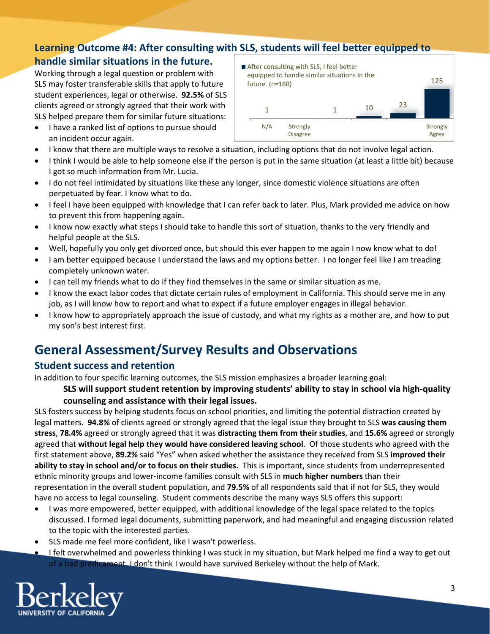#### **Learning Outcome #4: After consulting with SLS, students will feel better equipped to handle similar situations in the future.** After consulting with SLS, I feel better

Working through a legal question or problem with SLS may foster transferable skills that apply to future student experiences, legal or otherwise. **92.5%** of SLS clients agreed or strongly agreed that their work with SLS helped prepare them for similar future situations:

- I have a ranked list of options to pursue should an incident occur again.
- 1 10  $\frac{23}{1}$ 125 N/A Strongly Disagree **Strongly** Agree equipped to handle similar situations in the future. (n=160)
- I know that there are multiple ways to resolve a situation, including options that do not involve legal action.
- I think I would be able to help someone else if the person is put in the same situation (at least a little bit) because I got so much information from Mr. Lucia.
- I do not feel intimidated by situations like these any longer, since domestic violence situations are often perpetuated by fear. I know what to do.
- I feel I have been equipped with knowledge that I can refer back to later. Plus, Mark provided me advice on how to prevent this from happening again.
- I know now exactly what steps I should take to handle this sort of situation, thanks to the very friendly and helpful people at the SLS.
- Well, hopefully you only get divorced once, but should this ever happen to me again I now know what to do!
- I am better equipped because I understand the laws and my options better. I no longer feel like I am treading completely unknown water.
- I can tell my friends what to do if they find themselves in the same or similar situation as me.
- I know the exact labor codes that dictate certain rules of employment in California. This should serve me in any job, as I will know how to report and what to expect if a future employer engages in illegal behavior.
- I know how to appropriately approach the issue of custody, and what my rights as a mother are, and how to put my son's best interest first.

# **General Assessment/Survey Results and Observations**

### **Student success and retention**

In addition to four specific learning outcomes, the SLS mission emphasizes a broader learning goal:

#### **SLS will support student retention by improving students' ability to stay in school via high-quality counseling and assistance with their legal issues.**

SLS fosters success by helping students focus on school priorities, and limiting the potential distraction created by legal matters. **94.8%** of clients agreed or strongly agreed that the legal issue they brought to SLS **was causing them stress**, **78.4%** agreed or strongly agreed that it was **distracting them from their studies**, and **15.6%** agreed or strongly agreed that **without legal help they would have considered leaving school**. Of those students who agreed with the first statement above, **89.2%** said "Yes" when asked whether the assistance they received from SLS **improved their ability to stay in school and/or to focus on their studies.** This is important, since students from underrepresented ethnic minority groups and lower-income families consult with SLS in **much higher numbers** than their representation in the overall student population, and **79.5%** of all respondents said that if not for SLS, they would have no access to legal counseling. Student comments describe the many ways SLS offers this support:

- I was more empowered, better equipped, with additional knowledge of the legal space related to the topics discussed. I formed legal documents, submitting paperwork, and had meaningful and engaging discussion related to the topic with the interested parties.
- SLS made me feel more confident, like I wasn't powerless.
- I felt overwhelmed and powerless thinking I was stuck in my situation, but Mark helped me find a way to get out of a bad predicament. I don't think I would have survived Berkeley without the help of Mark.

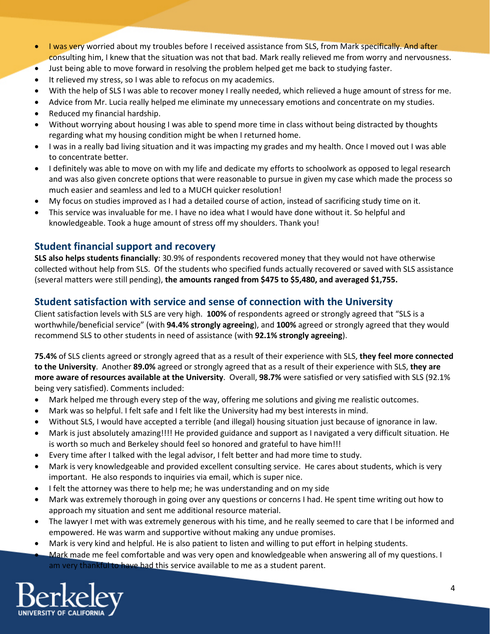- I was very worried about my troubles before I received assistance from SLS, from Mark specifically. And after consulting him, I knew that the situation was not that bad. Mark really relieved me from worry and nervousness.
- Just being able to move forward in resolving the problem helped get me back to studying faster.
- It relieved my stress, so I was able to refocus on my academics.
- With the help of SLS I was able to recover money I really needed, which relieved a huge amount of stress for me.
- Advice from Mr. Lucia really helped me eliminate my unnecessary emotions and concentrate on my studies.
- Reduced my financial hardship.
- Without worrying about housing I was able to spend more time in class without being distracted by thoughts regarding what my housing condition might be when I returned home.
- I was in a really bad living situation and it was impacting my grades and my health. Once I moved out I was able to concentrate better.
- I definitely was able to move on with my life and dedicate my efforts to schoolwork as opposed to legal research and was also given concrete options that were reasonable to pursue in given my case which made the process so much easier and seamless and led to a MUCH quicker resolution!
- My focus on studies improved as I had a detailed course of action, instead of sacrificing study time on it.
- This service was invaluable for me. I have no idea what I would have done without it. So helpful and knowledgeable. Took a huge amount of stress off my shoulders. Thank you!

### **Student financial support and recovery**

**SLS also helps students financially**: 30.9% of respondents recovered money that they would not have otherwise collected without help from SLS. Of the students who specified funds actually recovered or saved with SLS assistance (several matters were still pending), **the amounts ranged from \$475 to \$5,480, and averaged \$1,755.**

## **Student satisfaction with service and sense of connection with the University**

Client satisfaction levels with SLS are very high. **100%** of respondents agreed or strongly agreed that "SLS is a worthwhile/beneficial service" (with **94.4% strongly agreeing**), and **100%** agreed or strongly agreed that they would recommend SLS to other students in need of assistance (with **92.1% strongly agreeing**).

**75.4%** of SLS clients agreed or strongly agreed that as a result of their experience with SLS, **they feel more connected to the University**. Another **89.0%** agreed or strongly agreed that as a result of their experience with SLS, **they are more aware of resources available at the University**. Overall, **98.7%** were satisfied or very satisfied with SLS (92.1% being very satisfied). Comments included:

- Mark helped me through every step of the way, offering me solutions and giving me realistic outcomes.
- Mark was so helpful. I felt safe and I felt like the University had my best interests in mind.
- Without SLS, I would have accepted a terrible (and illegal) housing situation just because of ignorance in law.
- Mark is just absolutely amazing!!!! He provided guidance and support as I navigated a very difficult situation. He is worth so much and Berkeley should feel so honored and grateful to have him!!!
- Every time after I talked with the legal advisor, I felt better and had more time to study.
- Mark is very knowledgeable and provided excellent consulting service. He cares about students, which is very important. He also responds to inquiries via email, which is super nice.
- I felt the attorney was there to help me; he was understanding and on my side
- Mark was extremely thorough in going over any questions or concerns I had. He spent time writing out how to approach my situation and sent me additional resource material.
- The lawyer I met with was extremely generous with his time, and he really seemed to care that I be informed and empowered. He was warm and supportive without making any undue promises.
- Mark is very kind and helpful. He is also patient to listen and willing to put effort in helping students.
- Mark made me feel comfortable and was very open and knowledgeable when answering all of my questions. I am very thankful to have had this service available to me as a student parent.